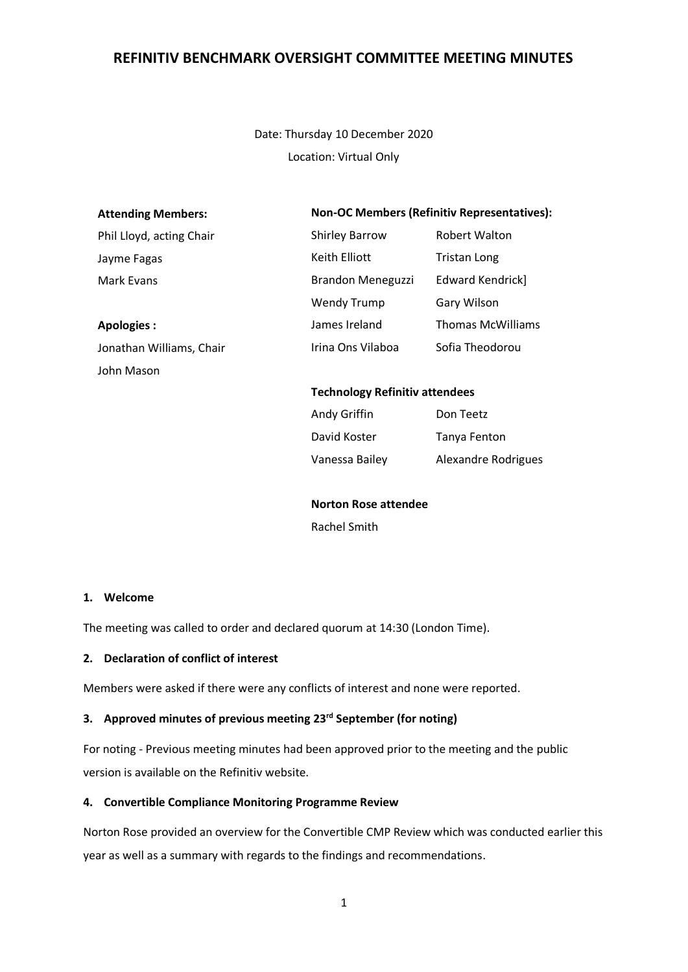Date: Thursday 10 December 2020 Location: Virtual Only

#### **Attending Members:**

Phil Lloyd, acting Chair

Jayme Fagas Mark Evans

**Apologies :** Jonathan Williams, Chair John Mason

#### **Non-OC Members (Refinitiv Representatives):**

| <b>Shirley Barrow</b>    | <b>Robert Walton</b>     |
|--------------------------|--------------------------|
| Keith Elliott            | <b>Tristan Long</b>      |
| <b>Brandon Meneguzzi</b> | Edward Kendrick]         |
| <b>Wendy Trump</b>       | Gary Wilson              |
| James Ireland            | <b>Thomas McWilliams</b> |
| Irina Ons Vilaboa        | Sofia Theodorou          |

#### **Technology Refinitiv attendees**

| Andy Griffin   | Don Teetz           |
|----------------|---------------------|
| David Koster   | Tanya Fenton        |
| Vanessa Bailey | Alexandre Rodrigues |

**Norton Rose attendee** Rachel Smith

#### **1. Welcome**

The meeting was called to order and declared quorum at 14:30 (London Time).

#### **2. Declaration of conflict of interest**

Members were asked if there were any conflicts of interest and none were reported.

#### **3. Approved minutes of previous meeting 23rd September (for noting)**

For noting - Previous meeting minutes had been approved prior to the meeting and the public version is available on the Refinitiv website.

#### **4. Convertible Compliance Monitoring Programme Review**

Norton Rose provided an overview for the Convertible CMP Review which was conducted earlier this year as well as a summary with regards to the findings and recommendations.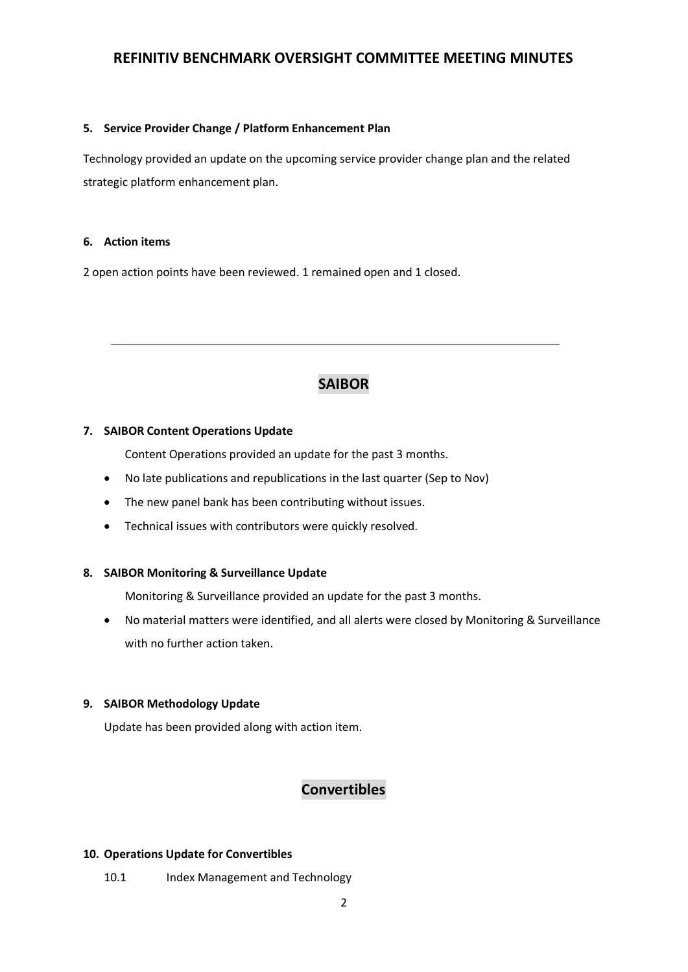#### **5. Service Provider Change / Platform Enhancement Plan**

Technology provided an update on the upcoming service provider change plan and the related strategic platform enhancement plan.

### **6. Action items**

2 open action points have been reviewed. 1 remained open and 1 closed.

# **SAIBOR**

## **7. SAIBOR Content Operations Update**

Content Operations provided an update for the past 3 months.

- No late publications and republications in the last quarter (Sep to Nov)
- The new panel bank has been contributing without issues.
- Technical issues with contributors were quickly resolved.

## **8. SAIBOR Monitoring & Surveillance Update**

Monitoring & Surveillance provided an update for the past 3 months.

• No material matters were identified, and all alerts were closed by Monitoring & Surveillance with no further action taken.

## **9. SAIBOR Methodology Update**

Update has been provided along with action item.

# **Convertibles**

### **10. Operations Update for Convertibles**

10.1 Index Management and Technology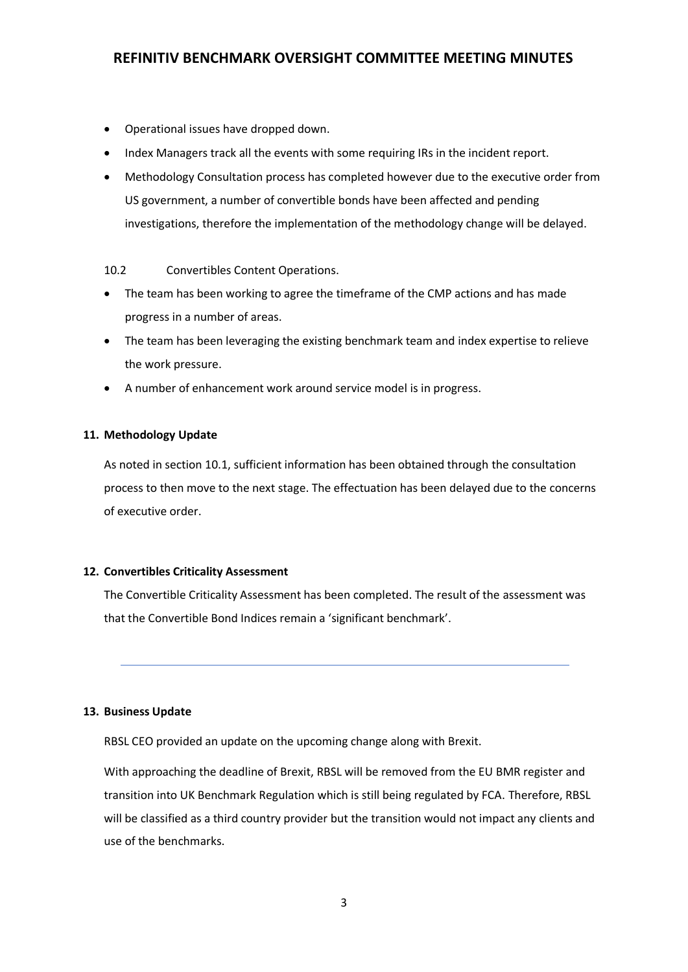- Operational issues have dropped down.
- Index Managers track all the events with some requiring IRs in the incident report.
- Methodology Consultation process has completed however due to the executive order from US government, a number of convertible bonds have been affected and pending investigations, therefore the implementation of the methodology change will be delayed.

#### 10.2 Convertibles Content Operations.

- The team has been working to agree the timeframe of the CMP actions and has made progress in a number of areas.
- The team has been leveraging the existing benchmark team and index expertise to relieve the work pressure.
- A number of enhancement work around service model is in progress.

### **11. Methodology Update**

As noted in section 10.1, sufficient information has been obtained through the consultation process to then move to the next stage. The effectuation has been delayed due to the concerns of executive order.

#### **12. Convertibles Criticality Assessment**

The Convertible Criticality Assessment has been completed. The result of the assessment was that the Convertible Bond Indices remain a 'significant benchmark'.

#### **13. Business Update**

RBSL CEO provided an update on the upcoming change along with Brexit.

With approaching the deadline of Brexit, RBSL will be removed from the EU BMR register and transition into UK Benchmark Regulation which is still being regulated by FCA. Therefore, RBSL will be classified as a third country provider but the transition would not impact any clients and use of the benchmarks.